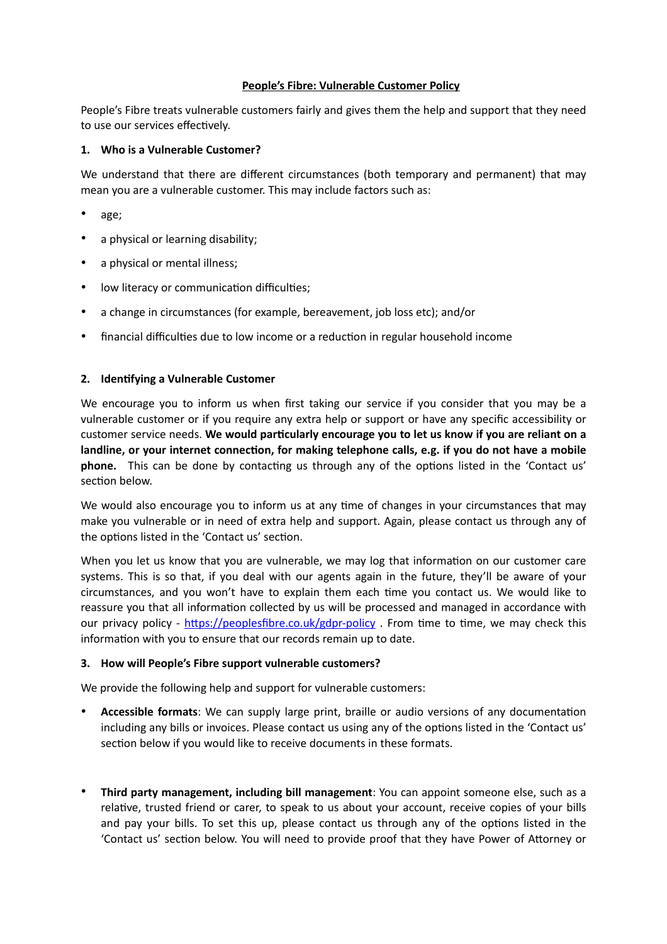# **People's Fibre: Vulnerable Customer Policy**

People's Fibre treats vulnerable customers fairly and gives them the help and support that they need to use our services effectively.

## **1. Who is a Vulnerable Customer?**

We understand that there are different circumstances (both temporary and permanent) that may mean you are a vulnerable customer. This may include factors such as:

- age;
- a physical or learning disability;
- a physical or mental illness;
- low literacy or communication difficulties;
- a change in circumstances (for example, bereavement, job loss etc); and/or
- financial difficulties due to low income or a reduction in regular household income

## **2. Identifying a Vulnerable Customer**

We encourage you to inform us when first taking our service if you consider that you may be a vulnerable customer or if you require any extra help or support or have any specific accessibility or customer service needs. **We would particularly encourage you to let us know if you are reliant on a landline, or your internet connection, for making telephone calls, e.g. if you do not have a mobile phone.** This can be done by contacting us through any of the options listed in the 'Contact us' section below.

We would also encourage you to inform us at any time of changes in your circumstances that may make you vulnerable or in need of extra help and support. Again, please contact us through any of the options listed in the 'Contact us' section.

When you let us know that you are vulnerable, we may log that information on our customer care systems. This is so that, if you deal with our agents again in the future, they'll be aware of your circumstances, and you won't have to explain them each time you contact us. We would like to reassure you that all information collected by us will be processed and managed in accordance with our privacy policy - <https://peoplesfibre.co.uk/gdpr-policy>. From time to time, we may check this information with you to ensure that our records remain up to date.

## **3. How will People's Fibre support vulnerable customers?**

We provide the following help and support for vulnerable customers:

- **Accessible formats**: We can supply large print, braille or audio versions of any documentation including any bills or invoices. Please contact us using any of the options listed in the 'Contact us' section below if you would like to receive documents in these formats.
- **Third party management, including bill management**: You can appoint someone else, such as a relative, trusted friend or carer, to speak to us about your account, receive copies of your bills and pay your bills. To set this up, please contact us through any of the options listed in the 'Contact us' section below. You will need to provide proof that they have Power of Attorney or